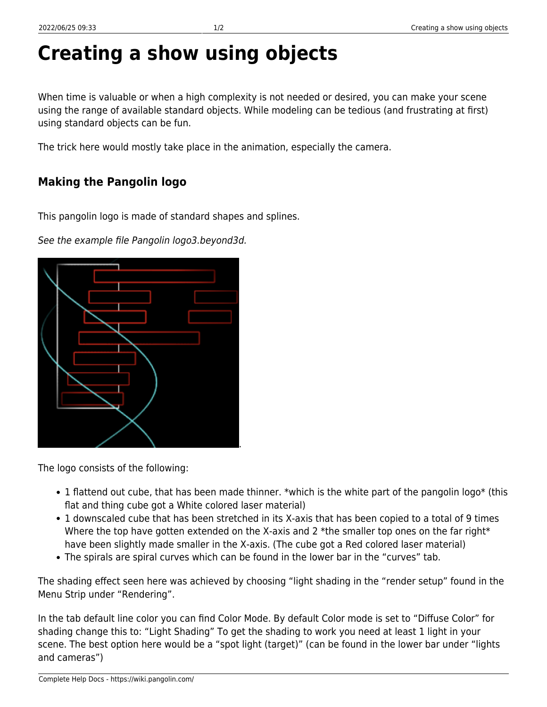## **Creating a show using objects**

When time is valuable or when a high complexity is not needed or desired, you can make your scene using the range of available standard objects. While modeling can be tedious (and frustrating at first) using standard objects can be fun.

The trick here would mostly take place in the animation, especially the camera.

## **Making the Pangolin logo**

This pangolin logo is made of standard shapes and splines.

See the example file Pangolin logo3.beyond3d.

The logo consists of the following:

- 1 flattend out cube, that has been made thinner. \*which is the white part of the pangolin logo\* (this flat and thing cube got a White colored laser material)
- 1 downscaled cube that has been stretched in its X-axis that has been copied to a total of 9 times Where the top have gotten extended on the X-axis and 2 \*the smaller top ones on the far right\* have been slightly made smaller in the X-axis. (The cube got a Red colored laser material)
- The spirals are spiral curves which can be found in the lower bar in the "curves" tab.

The shading effect seen here was achieved by choosing "light shading in the "render setup" found in the Menu Strip under "Rendering".

In the tab default line color you can find Color Mode. By default Color mode is set to "Diffuse Color" for shading change this to: "Light Shading" To get the shading to work you need at least 1 light in your scene. The best option here would be a "spot light (target)" (can be found in the lower bar under "lights and cameras")